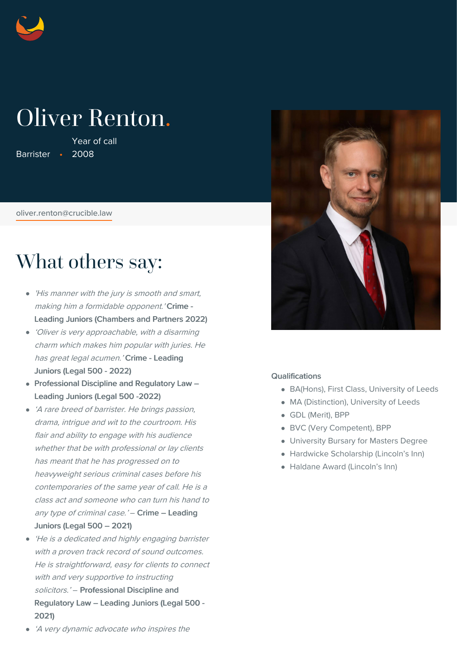

# Oliver Renton.

Barrister • 2008 Year of call

[oliver.renton@crucible.law](mailto:oliver.renton@crucible.law)

## What others say:

- 'His manner with the jury is smooth and smart, making him a formidable opponent.' Crime -Leading Juniors (Chambers and Partners 2022)
- 'Oliver is very approachable, with <sup>a</sup> disarming charm which makes him popular with juries. He has great legal acumen.' Crime - Leading Juniors (Legal 500 - 2022)
- Professional Discipline and Regulatory Law -Leading Juniors (Legal 500 -2022)
- 'A rare breed of barrister. He brings passion, drama, intrigue and wit to the courtroom. His flair and ability to engage with his audience whether that be with professional or lay clients has meant that he has progressed on to heavyweight serious criminal cases before his contemporaries of the same year of call. He is <sup>a</sup> class act and someone who can turn his hand to any type of criminal case.' – Crime – Leading Juniors (Legal 500 – 2021)
- 'He is <sup>a</sup> dedicated and highly engaging barrister with a proven track record of sound outcomes. He is straightforward, easy for clients to connect with and very supportive to instructing solicitors.' - Professional Discipline and Regulatory Law – Leading Juniors (Legal 500 - 2021)



## Qualifications

- BA(Hons), First Class, University of Leeds
- MA (Distinction), University of Leeds
- GDL (Merit), BPP
- BVC (Very Competent), BPP
- University Bursary for Masters Degree
- Hardwicke Scholarship (Lincoln's Inn)
- Haldane Award (Lincoln's Inn)

'A very dynamic advocate who inspires the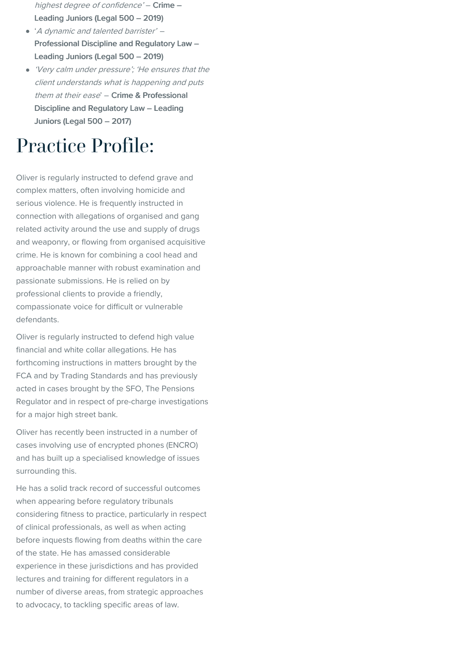- highest degree of confidence' Crime Leading Juniors (Legal 500 – 2019)
- '<sup>A</sup> dynamic and talented barrister' Professional Discipline and Regulatory Law – Leading Juniors (Legal 500 – 2019)
- 'Very calm under pressure'; 'He ensures that the client understands what is happening and puts them at their ease' - Crime & Professional Discipline and Regulatory Law – Leading Juniors (Legal 500 – 2017)

## Practice Profile:

Oliver is regularly instructed to defend grave and complex matters, often involving homicide and serious violence. He is frequently instructed in connection with allegations of organised and gang related activity around the use and supply of drugs and weaponry, or flowing from organised acquisitive crime. He is known for combining a cool head and approachable manner with robust examination and passionate submissions. He is relied on by professional clients to provide a friendly, compassionate voice for difficult or vulnerable defendants.

Oliver is regularly instructed to defend high value financial and white collar allegations. He has forthcoming instructions in matters brought by the FCA and by Trading Standards and has previously acted in cases brought by the SFO, The Pensions Regulator and in respect of pre-charge investigations for a major high street bank.

Oliver has recently been instructed in a number of cases involving use of encrypted phones (ENCRO) and has built up a specialised knowledge of issues surrounding this.

He has a solid track record of successful outcomes when appearing before regulatory tribunals considering fitness to practice, particularly in respect of clinical professionals, as well as when acting before inquests flowing from deaths within the care of the state. He has amassed considerable experience in these jurisdictions and has provided lectures and training for different regulators in a number of diverse areas, from strategic approaches to advocacy, to tackling specific areas of law.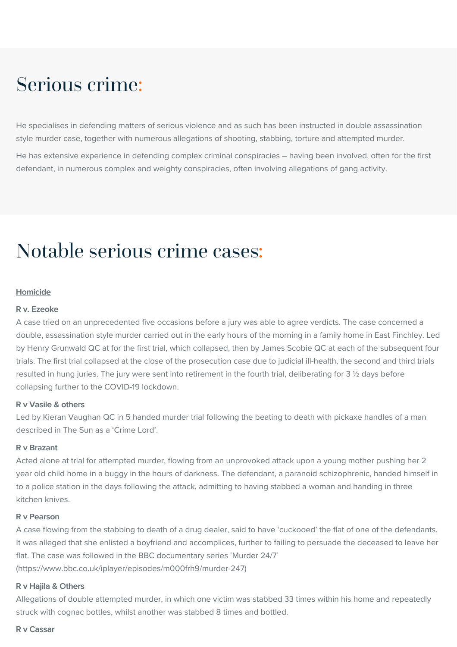## Serious crime:

He specialises in defending matters of serious violence and as such has been instructed in double assassination style murder case, together with numerous allegations of shooting, stabbing, torture and attempted murder.

He has extensive experience in defending complex criminal conspiracies – having been involved, often for the first defendant, in numerous complex and weighty conspiracies, often involving allegations of gang activity.

## Notable serious crime cases:

#### Homicide

## R v. Ezeoke

A case tried on an unprecedented five occasions before a jury was able to agree verdicts. The case concerned a double, assassination style murder carried out in the early hours of the morning in a family home in East Finchley. Led by Henry Grunwald QC at for the first trial, which collapsed, then by James Scobie QC at each of the subsequent four trials. The first trial collapsed at the close of the prosecution case due to judicial ill-health, the second and third trials resulted in hung juries. The jury were sent into retirement in the fourth trial, deliberating for 3 ½ days before collapsing further to the COVID-19 lockdown.

#### R v Vasile & others

Led by Kieran Vaughan QC in 5 handed murder trial following the beating to death with pickaxe handles of a man described in The Sun as a 'Crime Lord'.

#### R v Brazant

Acted alone at trial for attempted murder, flowing from an unprovoked attack upon a young mother pushing her 2 year old child home in a buggy in the hours of darkness. The defendant, a paranoid schizophrenic, handed himself in to a police station in the days following the attack, admitting to having stabbed a woman and handing in three kitchen knives.

## R v Pearson

A case flowing from the stabbing to death of a drug dealer, said to have 'cuckooed' the flat of one of the defendants. It was alleged that she enlisted a boyfriend and accomplices, further to failing to persuade the deceased to leave her flat. The case was followed in the BBC documentary series 'Murder 24/7' (https://www.bbc.co.uk/iplayer/episodes/m000frh9/murder-247)

#### R v Hajila & Others

Allegations of double attempted murder, in which one victim was stabbed 33 times within his home and repeatedly struck with cognac bottles, whilst another was stabbed 8 times and bottled.

#### R v Cassar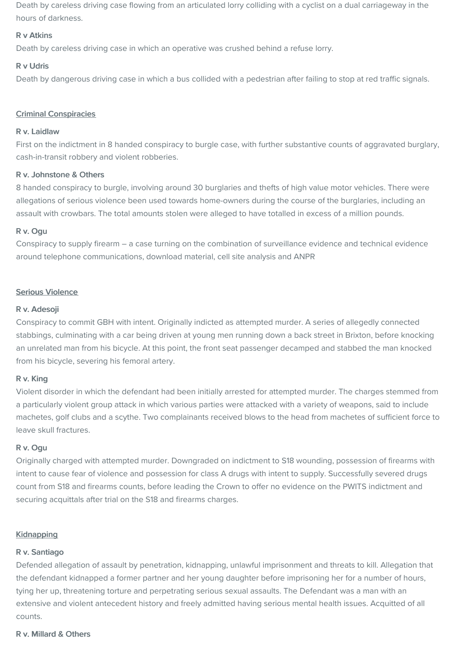Death by careless driving case flowing from an articulated lorry colliding with a cyclist on a dual carriageway in the hours of darkness.

## R v Atkins

Death by careless driving case in which an operative was crushed behind a refuse lorry.

## R v Udris

Death by dangerous driving case in which a bus collided with a pedestrian after failing to stop at red traffic signals.

## Criminal Conspiracies

## R v. Laidlaw

First on the indictment in 8 handed conspiracy to burgle case, with further substantive counts of aggravated burglary, cash-in-transit robbery and violent robberies.

## R v. Johnstone & Others

8 handed conspiracy to burgle, involving around 30 burglaries and thefts of high value motor vehicles. There were allegations of serious violence been used towards home-owners during the course of the burglaries, including an assault with crowbars. The total amounts stolen were alleged to have totalled in excess of a million pounds.

## R v. Ogu

Conspiracy to supply firearm – a case turning on the combination of surveillance evidence and technical evidence around telephone communications, download material, cell site analysis and ANPR

## Serious Violence

## R v. Adesoji

Conspiracy to commit GBH with intent. Originally indicted as attempted murder. A series of allegedly connected stabbings, culminating with a car being driven at young men running down a back street in Brixton, before knocking an unrelated man from his bicycle. At this point, the front seat passenger decamped and stabbed the man knocked from his bicycle, severing his femoral artery.

## R v. King

Violent disorder in which the defendant had been initially arrested for attempted murder. The charges stemmed from a particularly violent group attack in which various parties were attacked with a variety of weapons, said to include machetes, golf clubs and a scythe. Two complainants received blows to the head from machetes of sufficient force to leave skull fractures.

## R v. Ogu

Originally charged with attempted murder. Downgraded on indictment to S18 wounding, possession of firearms with intent to cause fear of violence and possession for class A drugs with intent to supply. Successfully severed drugs count from S18 and firearms counts, before leading the Crown to offer no evidence on the PWITS indictment and securing acquittals after trial on the S18 and firearms charges.

## **Kidnapping**

## R v. Santiago

Defended allegation of assault by penetration, kidnapping, unlawful imprisonment and threats to kill. Allegation that the defendant kidnapped a former partner and her young daughter before imprisoning her for a number of hours, tying her up, threatening torture and perpetrating serious sexual assaults. The Defendant was a man with an extensive and violent antecedent history and freely admitted having serious mental health issues. Acquitted of all counts.

## R v. Millard & Others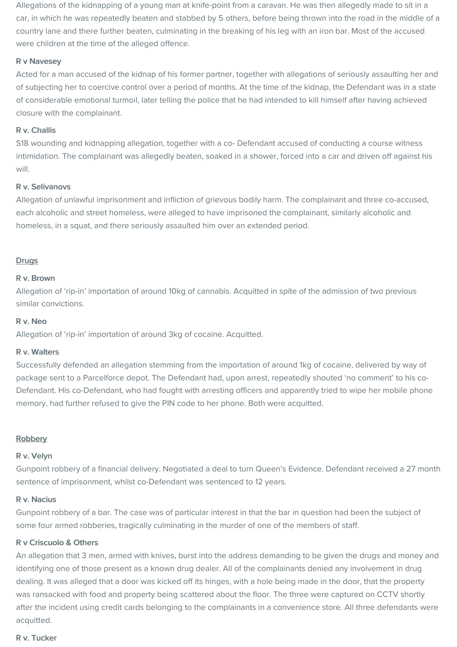Allegations of the kidnapping of a young man at knife-point from a caravan. He was then allegedly made to sit in a car, in which he was repeatedly beaten and stabbed by 5 others, before being thrown into the road in the middle of a country lane and there further beaten, culminating in the breaking of his leg with an iron bar. Most of the accused were children at the time of the alleged offence.

## R v Navesey

Acted for a man accused of the kidnap of his former partner, together with allegations of seriously assaulting her and of subjecting her to coercive control over a period of months. At the time of the kidnap, the Defendant was in a state of considerable emotional turmoil, later telling the police that he had intended to kill himself after having achieved closure with the complainant.

### R v. Challis

S18 wounding and kidnapping allegation, together with a co- Defendant accused of conducting a course witness intimidation. The complainant was allegedly beaten, soaked in a shower, forced into a car and driven off against his will.

## R v. Selivanovs

Allegation of unlawful imprisonment and infliction of grievous bodily harm. The complainant and three co-accused, each alcoholic and street homeless, were alleged to have imprisoned the complainant, similarly alcoholic and homeless, in a squat, and there seriously assaulted him over an extended period.

## **Drugs**

#### R v. Brown

Allegation of 'rip-in' importation of around 10kg of cannabis. Acquitted in spite of the admission of two previous similar convictions.

#### R v. Neo

Allegation of 'rip-in' importation of around 3kg of cocaine. Acquitted.

#### R v. Walters

Successfully defended an allegation stemming from the importation of around 1kg of cocaine, delivered by way of package sent to a Parcelforce depot. The Defendant had, upon arrest, repeatedly shouted 'no comment' to his co-Defendant. His co-Defendant, who had fought with arresting officers and apparently tried to wipe her mobile phone memory, had further refused to give the PIN code to her phone. Both were acquitted.

#### **Robbery**

#### R v. Velyn

Gunpoint robbery of a financial delivery. Negotiated a deal to turn Queen's Evidence. Defendant received a 27 month sentence of imprisonment, whilst co-Defendant was sentenced to 12 years.

#### R v. Nacius

Gunpoint robbery of a bar. The case was of particular interest in that the bar in question had been the subject of some four armed robberies, tragically culminating in the murder of one of the members of staff.

### R v Criscuolo & Others

An allegation that 3 men, armed with knives, burst into the address demanding to be given the drugs and money and identifying one of those present as a known drug dealer. All of the complainants denied any involvement in drug dealing. It was alleged that a door was kicked off its hinges, with a hole being made in the door, that the property was ransacked with food and property being scattered about the floor. The three were captured on CCTV shortly after the incident using credit cards belonging to the complainants in a convenience store. All three defendants were acquitted.

#### R v. Tucker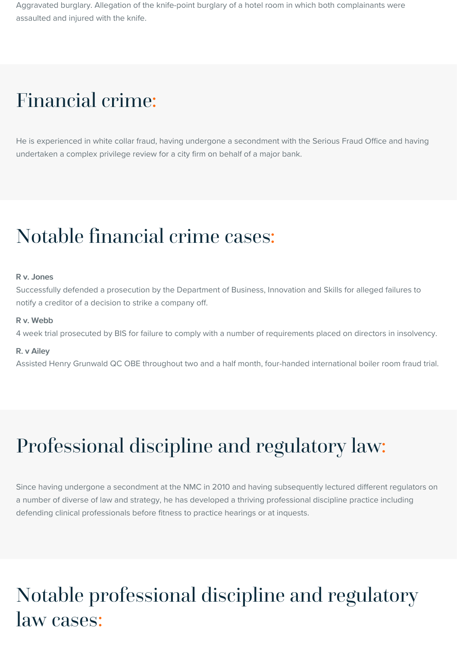Aggravated burglary. Allegation of the knife-point burglary of a hotel room in which both complainants were assaulted and injured with the knife.

## Financial crime:

He is experienced in white collar fraud, having undergone a secondment with the Serious Fraud Office and having undertaken a complex privilege review for a city firm on behalf of a major bank.

## Notable financial crime cases:

#### R v. Jones

Successfully defended a prosecution by the Department of Business, Innovation and Skills for alleged failures to notify a creditor of a decision to strike a company off.

#### R v. Webb

4 week trial prosecuted by BIS for failure to comply with a number of requirements placed on directors in insolvency.

#### R. v Ailey

Assisted Henry Grunwald QC OBE throughout two and a half month, four-handed international boiler room fraud trial.

# Professional discipline and regulatory law:

Since having undergone a secondment at the NMC in 2010 and having subsequently lectured different regulators on a number of diverse of law and strategy, he has developed a thriving professional discipline practice including defending clinical professionals before fitness to practice hearings or at inquests.

## Notable professional discipline and regulatory law cases: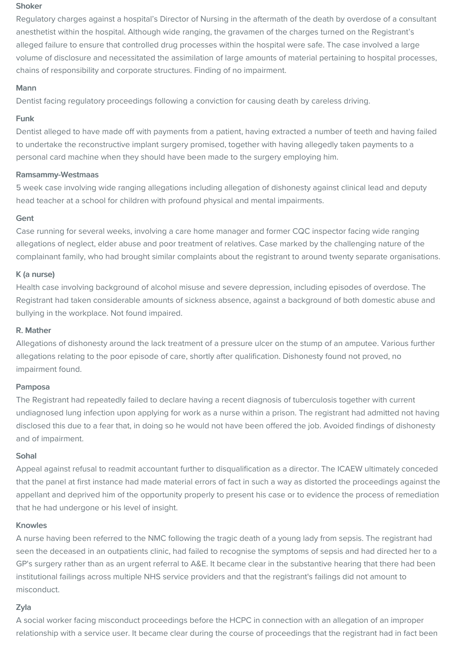#### Shoker

Regulatory charges against a hospital's Director of Nursing in the aftermath of the death by overdose of a consultant anesthetist within the hospital. Although wide ranging, the gravamen of the charges turned on the Registrant's alleged failure to ensure that controlled drug processes within the hospital were safe. The case involved a large volume of disclosure and necessitated the assimilation of large amounts of material pertaining to hospital processes, chains of responsibility and corporate structures. Finding of no impairment.

#### Mann

Dentist facing regulatory proceedings following a conviction for causing death by careless driving.

## Funk

Dentist alleged to have made off with payments from a patient, having extracted a number of teeth and having failed to undertake the reconstructive implant surgery promised, together with having allegedly taken payments to a personal card machine when they should have been made to the surgery employing him.

#### Ramsammy-Westmaas

5 week case involving wide ranging allegations including allegation of dishonesty against clinical lead and deputy head teacher at a school for children with profound physical and mental impairments.

## Gent

Case running for several weeks, involving a care home manager and former CQC inspector facing wide ranging allegations of neglect, elder abuse and poor treatment of relatives. Case marked by the challenging nature of the complainant family, who had brought similar complaints about the registrant to around twenty separate organisations.

## K (a nurse)

Health case involving background of alcohol misuse and severe depression, including episodes of overdose. The Registrant had taken considerable amounts of sickness absence, against a background of both domestic abuse and bullying in the workplace. Not found impaired.

#### R. Mather

Allegations of dishonesty around the lack treatment of a pressure ulcer on the stump of an amputee. Various further allegations relating to the poor episode of care, shortly after qualification. Dishonesty found not proved, no impairment found.

#### Pamposa

The Registrant had repeatedly failed to declare having a recent diagnosis of tuberculosis together with current undiagnosed lung infection upon applying for work as a nurse within a prison. The registrant had admitted not having disclosed this due to a fear that, in doing so he would not have been offered the job. Avoided findings of dishonesty and of impairment.

#### Sohal

Appeal against refusal to readmit accountant further to disqualification as a director. The ICAEW ultimately conceded that the panel at first instance had made material errors of fact in such a way as distorted the proceedings against the appellant and deprived him of the opportunity properly to present his case or to evidence the process of remediation that he had undergone or his level of insight.

#### Knowles

A nurse having been referred to the NMC following the tragic death of a young lady from sepsis. The registrant had seen the deceased in an outpatients clinic, had failed to recognise the symptoms of sepsis and had directed her to a GP's surgery rather than as an urgent referral to A&E. It became clear in the substantive hearing that there had been institutional failings across multiple NHS service providers and that the registrant's failings did not amount to misconduct.

## Zyla

A social worker facing misconduct proceedings before the HCPC in connection with an allegation of an improper relationship with a service user. It became clear during the course of proceedings that the registrant had in fact been